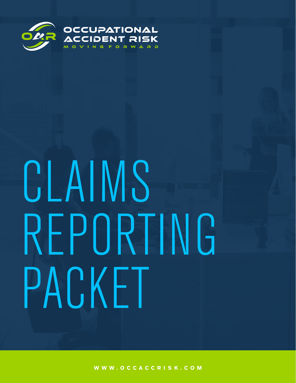

# CLAIMS REPORTING PACKET

**WWW.OCCACCR IS K.COM**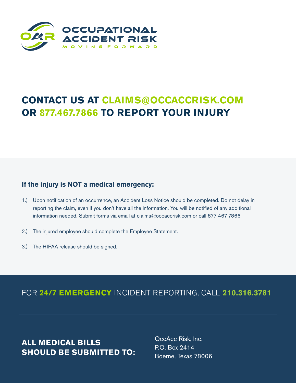

# **CONTACT US AT CLAIMS@OCCACCRISK.COM OR 877.467.7866 TO REPORT YOUR INJURY**

#### **If the injury is NOT a medical emergency:**

- 1.) Upon notification of an occurrence, an Accident Loss Notice should be completed. Do not delay in reporting the claim, even if you don't have all the information. You will be notified of any additional information needed. Submit forms via email at claims@occaccrisk.com or call 877-467-7866
- 2.) The injured employee should complete the Employee Statement.
- 3.) The HIPAA release should be signed.

FOR **24/7 EMERGENCY** INCIDENT REPORTING, CALL **210.316.3781**

**ALL MEDICAL BILLS SHOULD BE SUBMITTED TO:** OccAcc Risk, Inc. P.O. Box 2414 Boerne, Texas 78006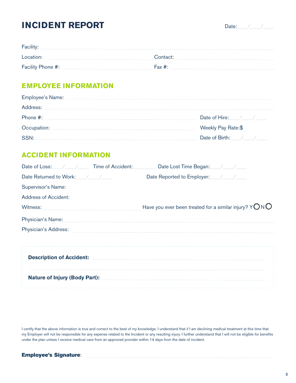## **INCIDENT REPORT**

Date:  $\sqrt{2}$ 

| Facility:         |           |
|-------------------|-----------|
| Location:         | Contact:  |
| Facility Phone #: | Fax $#$ : |

#### **EMPLOYEE INFORMATION**

| Employee's Name: |                    |
|------------------|--------------------|
| Address:         |                    |
| Phone #:         | Date of Hire: / /  |
| Occupation:      | Weekly Pay Rate:\$ |
| SSN:             | Date of Birth: / / |

### **ACCIDENT INFORMATION**

| <b>Time of Accident:</b><br>Date of Loss: | Date Lost Time Began:                                   |
|-------------------------------------------|---------------------------------------------------------|
| Date Returned to Work:                    |                                                         |
| Supervisor's Name:                        |                                                         |
| Address of Accident:                      |                                                         |
| Witness:                                  | Have you ever been treated for a similar injury? $YONO$ |
| Physician's Name:                         |                                                         |
| <b>Physician's Address:</b>               |                                                         |
|                                           |                                                         |
| <b>Description of Accident:</b>           |                                                         |
| <b>Nature of Injury (Body Part):</b>      |                                                         |

I certify that the above information is true and correct to the best of my knowledge. I understand that if I am declining medical treatment at this time that my Employer will not be responsible for any expense related to the Incident or any resulting injury. I further understand that I will not be eligible for benefits under the plan unless I receive medical care from an approved provider within 14 days from the date of incident.

| <b>Employee's Signature:</b> |
|------------------------------|
|------------------------------|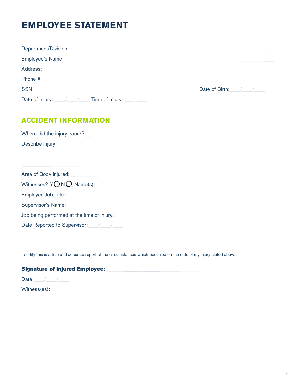# **EMPLOYEE STATEMENT**

| Department/Division: |                                 |
|----------------------|---------------------------------|
| Employee's Name:     |                                 |
| Address:             |                                 |
| Phone #:             |                                 |
| SSN:                 | Date of Birth:<br>$\frac{1}{2}$ |
|                      |                                 |

## **ACCIDENT INFORMATION**

| Where did the injury occur?                |  |  |  |  |
|--------------------------------------------|--|--|--|--|
| Describe Injury:                           |  |  |  |  |
|                                            |  |  |  |  |
|                                            |  |  |  |  |
| Area of Body Injured:                      |  |  |  |  |
| Witnesses? YONO Name(s):                   |  |  |  |  |
| Employee Job Title:                        |  |  |  |  |
| Supervisor's Name:                         |  |  |  |  |
| Job being performed at the time of injury: |  |  |  |  |
| Date Reported to Supervisor:               |  |  |  |  |

I certify this is a true and accurate report of the circumstances which occurred on the date of my injury stated above:

| <b>Signature of Injured Employee:</b> |  |  |  |
|---------------------------------------|--|--|--|
| Date:                                 |  |  |  |
| Witness(es):                          |  |  |  |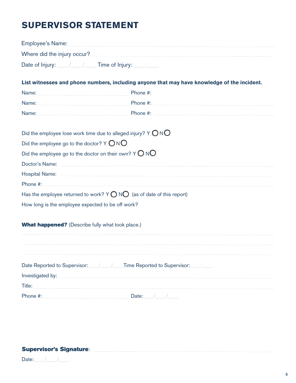## **SUPERVISOR STATEMENT**

| <b>Employee's Name:</b>                                 |                                                                                             |
|---------------------------------------------------------|---------------------------------------------------------------------------------------------|
| Where did the injury occur?                             |                                                                                             |
|                                                         |                                                                                             |
|                                                         | List witnesses and phone numbers, including anyone that may have knowledge of the incident. |
| Name:                                                   | Phone #:                                                                                    |
| Name:                                                   | Phone #:                                                                                    |
| Name:                                                   | Phone #:                                                                                    |
|                                                         | Did the employee lose work time due to alleged injury? $Y$ $\bigcirc$ N $\bigcirc$          |
| Did the employee go to the doctor? $Y \bigcirc N$       |                                                                                             |
|                                                         | Did the employee go to the doctor on their own? $Y \bigcirc \overline{N}$                   |
| Doctor's Name:                                          |                                                                                             |
| <b>Hospital Name:</b>                                   |                                                                                             |
| Phone #:                                                |                                                                                             |
|                                                         | Has the employee returned to work? $Y \bigcirc NQ$ (as of date of this report)              |
| How long is the employee expected to be off work?       |                                                                                             |
| <b>What happened?</b> (Describe fully what took place.) |                                                                                             |
|                                                         |                                                                                             |
|                                                         | Date Reported to Supervisor: \___/ \___/ Time Reported to Supervisor: \____:                |
| Investigated by:                                        |                                                                                             |
| Title:                                                  |                                                                                             |
| Phone #:                                                | Date:                                                                                       |

#### Supervisor's Signature: 2008 2009 2010 2020 2021 2022 2023 2024 2022 2023 2024 2022 2023 2024 2022 2023 2024 20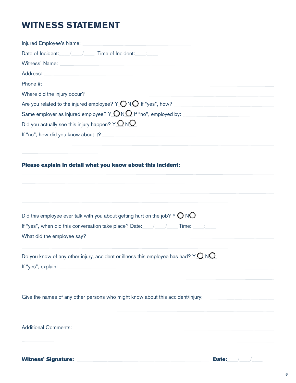# **WITNESS STATEMENT**

| Injured Employee's Name:                                                                                                                                                                                                       |
|--------------------------------------------------------------------------------------------------------------------------------------------------------------------------------------------------------------------------------|
| Date of Incident: / / / Time of Incident:                                                                                                                                                                                      |
| Witness' Name: Witness and Witness and Witness and Witness and Witness and Witness and Witness and Witness and Witness and Witness and Witness and Witness and Witness and Witness and Witness and Witness and Witness and Wit |
| Address:                                                                                                                                                                                                                       |
| Phone #:                                                                                                                                                                                                                       |
| Where did the injury occur?                                                                                                                                                                                                    |
| Are you related to the injured employee? $Y$ $\bigcirc$ N $\bigcirc$ If "yes", how?                                                                                                                                            |
| Same employer as injured employee? $Y$ $\bigcirc$ N $\bigcirc$ If "no", employed by:                                                                                                                                           |
| Did you actually see this injury happen? $Y$ $\bigcirc$ N $\bigcirc$                                                                                                                                                           |
| If "no", how did you know about it?                                                                                                                                                                                            |
| Please explain in detail what you know about this incident:                                                                                                                                                                    |
| Did this employee ever talk with you about getting hurt on the job? $Y\bigcirc N\bigcirc$                                                                                                                                      |
|                                                                                                                                                                                                                                |
| What did the employee say?                                                                                                                                                                                                     |
| Do you know of any other injury, accident or illness this employee has had? $Y$ $\bigcirc$ N $\bigcirc$<br>If "yes", explain:                                                                                                  |
| Give the names of any other persons who might know about this accident/injury:                                                                                                                                                 |
| <b>Additional Comments:</b><br><u> 1980 - John Stein, mars and de Barbara (b. 1980)</u>                                                                                                                                        |
|                                                                                                                                                                                                                                |

Witness' Signature: Date: Date: Date: Date: Date: Date: Date: Date: Date: Date: Date: Date: Date: Date: Date: D

| Dater |  |  |  |
|-------|--|--|--|
|       |  |  |  |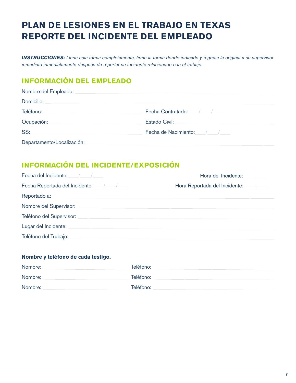# **PLAN DE LESIONES EN EL TRABAJO EN TEXAS REPORTE DEL INCIDENTE DEL EMPLEADO**

*INSTRUCCIONES: Llene esta forma completamente, firme la forma donde indicado y regrese la original a su supervisor inmediato inmediatamente después de reportar su incidente relacionado con el trabajo.*

## **INFORMACIÓN DEL EMPLEADO**

| Nombre del Empleado:       |                            |
|----------------------------|----------------------------|
| Domicilio:                 |                            |
| Teléfono:                  | Fecha Contratado: / /      |
| Ocupación:                 | Estado Civil:              |
| SS:                        | Fecha de Nacimiento: / / / |
| Departamento/Localización: |                            |

## **INFORMACIÓN DEL INCIDENTE/EXPOSICIÓN**

| Fecha del Incidente: / / | Hora del Incidente: Fig. 1. England St. |
|--------------------------|-----------------------------------------|
|                          | Hora Reportada del Incidente: 1996      |
| Reportado a:             |                                         |
| Nombre del Supervisor:   |                                         |
| Teléfono del Supervisor: |                                         |
| Lugar del Incidente:     |                                         |
| Teléfono del Trabajo:    |                                         |

#### **Nombre y teléfono de cada testigo.**

| Nombre: | Teléfono: |
|---------|-----------|
| Nombre: | Teléfono: |
| Nombre: | Teléfono: |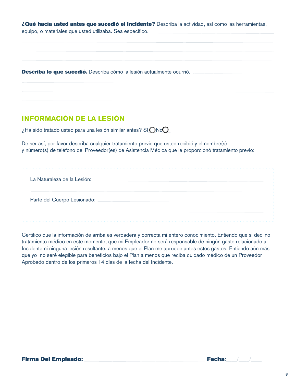¿Qué hacía usted antes que sucedió el incidente? Describa la actividad, así como las herramientas,

equipo, o materiales que usted utilizaba. Sea específico.

Describa lo que sucedió. Describa cómo la lesión actualmente ocurrió.

## **INFORMACIÓN DE LA LESIÓN**

¿Ha sido tratado usted para una lesión similar antes? Sí\_\_\_No\_\_\_

De ser así, por favor describa cualquier tratamiento previo que usted recibió y el nombre(s) y número(s) de teléfono del Proveedor(es) de Asistencia Médica que le proporcionó tratamiento previo:

| La Naturaleza de la Lesión: |  |  |
|-----------------------------|--|--|
| Parte del Cuerpo Lesionado: |  |  |
|                             |  |  |

Certifico que la información de arriba es verdadera y correcta mi entero conocimiento. Entiendo que si declino tratamiento médico en este momento, que mi Empleador no será responsable de ningún gasto relacionado al Incidente ni ninguna lesión resultante, a menos que el Plan me apruebe antes estos gastos. Entiendo aún más que yo no seré elegible para beneficios bajo el Plan a menos que reciba cuidado médico de un Proveedor Aprobado dentro de los primeros 14 días de la fecha del Incidente.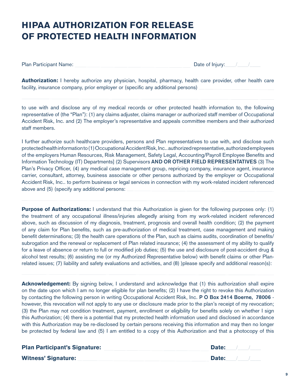# **HIPAA AUTHORIZATION FOR RELEASE OF PROTECTED HEALTH INFORMATION**

Plan Participant Name:  $\Box$  Date of Injury:

**Authorization:** I hereby authorize any physician, hospital, pharmacy, health care provider, other health care facility, insurance company, prior employer or (specific any additional persons)

to use with and disclose any of my medical records or other protected health information to, the following representative of (the "Plan"): (1) any claims adjuster, claims manager or authorized staff member of Occupational Accident Risk, Inc. and (2) The employer's representative and appeals committee members and their authorized staff members.

I further authorize such healthcare providers, persons and Plan representatives to use with, and disclose such protected health information to (1) Occupational Accident Risk, Inc.. authorized representative, authorized employees of the employers Human Resources, Risk Management, Safety Legal, Accounting/Payroll Employee Benefits and Information Technology (IT) Departments] (2) Supervisors AND OR OTHER FIELD REPRESENTATIVES (3) The Plan's Privacy Officer, (4) any medical case management group, repricing company, insurance agent, insurance carrier, consultant, attorney, business associate or other persons authorized by the employer or Occupational Accident Risk, Inc.. to perform business or legal services in connection with my work-related incident referenced above and (5) (specify any additional persons:

**Purpose of Authorizations:** I understand that this Authorization is given for the following purposes only: (1) the treatment of any occupational illness/injuries allegedly arising from my work-related incident referenced above, such as discussion of my diagnosis, treatment, prognosis and overall health condition; (2) the payment of any claim for Plan benefits, such as pre-authorization of medical treatment, case management and making benefit determinations; (3) the health care operations of the Plan, such as claims audits, coordination of benefits/ subrogation and the renewal or replacement of Plan related insurance; (4) the assessment of my ability to qualify for a leave of absence or return to full or modified job duties; (5) the use and disclosure of post-accident drug & alcohol test results; (6) assisting me (or my Authorized Representative below) with benefit claims or other Planrelated issues; (7) liability and safety evaluations and activities, and (8) )please specify and additional reason(s):

**Acknowledgement:** By signing below, I understand and acknowledge that (1) this authorization shall expire on the date upon which I am no longer eligible for plan benefits; (2) I have the right to revoke this Authorization by contacting the following person in writing Occupational Accident Risk, Inc. P O Box 2414 Boerne, 78006 however, this revocation will not apply to any use or disclosure made prior to the plan's receipt of my revocation; (3) the Plan may not condition treatment, payment, enrollment or eligibility for benefits solely on whether I sign this Authorization; (4) there is a potential that my protected health information used and disclosed in accordance with this Authorization may be re-disclosed by certain persons receiving this information and may then no longer be protected by federal law and (5) I am entitled to a copy of this Authorization and that a photocopy of this

| <b>Plan Participant's Signature:</b> | Date: |  |
|--------------------------------------|-------|--|
| <b>Witness' Signature:</b>           | Date: |  |